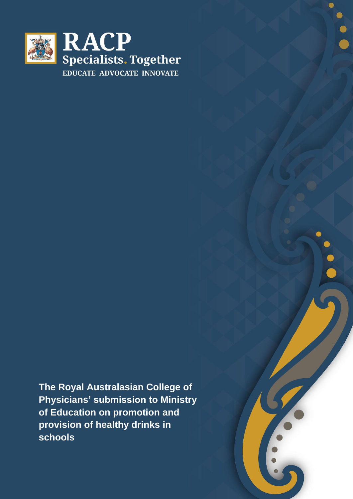

**The Royal Australasian College of Physicians' submission to Ministry of Education on promotion and provision of healthy drinks in schools**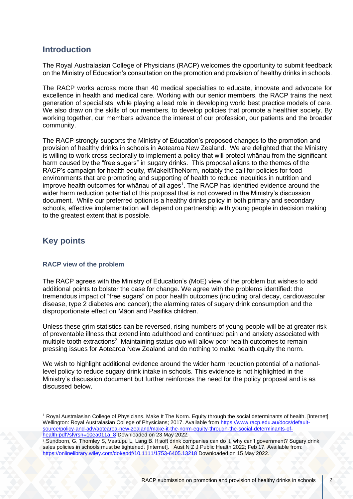## **Introduction**

The Royal Australasian College of Physicians (RACP) welcomes the opportunity to submit feedback on the Ministry of Education's consultation on the promotion and provision of healthy drinks in schools.

The RACP works across more than 40 medical specialties to educate, innovate and advocate for excellence in health and medical care. Working with our senior members, the RACP trains the next generation of specialists, while playing a lead role in developing world best practice models of care. We also draw on the skills of our members, to develop policies that promote a healthier society. By working together, our members advance the interest of our profession, our patients and the broader community.

<span id="page-1-0"></span>The RACP strongly supports the Ministry of Education's proposed changes to the promotion and provision of healthy drinks in schools in Aotearoa New Zealand. We are delighted that the Ministry is willing to work cross-sectorally to implement a policy that will protect whānau from the significant harm caused by the "free sugars" in sugary drinks. This proposal aligns to the themes of the RACP's campaign for health equity, #MakeItTheNorm, notably the call for policies for food environments that are promoting and supporting of health to reduce inequities in nutrition and improve health outcomes for whānau of all ages<sup>1</sup>. The RACP has identified evidence around the wider harm reduction potential of this proposal that is not covered in the Ministry's discussion document. While our preferred option is a healthy drinks policy in both primary and secondary schools, effective implementation will depend on partnership with young people in decision making to the greatest extent that is possible.

# **Key points**

### **RACP view of the problem**

The RACP agrees with the Ministry of Education's (MoE) view of the problem but wishes to add additional points to bolster the case for change. We agree with the problems identified: the tremendous impact of "free sugars" on poor health outcomes (including oral decay, cardiovascular disease, type 2 diabetes and cancer); the alarming rates of sugary drink consumption and the disproportionate effect on Māori and Pasifika children.

<span id="page-1-1"></span>Unless these grim statistics can be reversed, rising numbers of young people will be at greater risk of preventable illness that extend into adulthood and continued pain and anxiety associated with multiple tooth extractions<sup>2</sup>. Maintaining status quo will allow poor health outcomes to remain pressing issues for Aotearoa New Zealand and do nothing to make health equity the norm.

We wish to highlight additional evidence around the wider harm reduction potential of a nationallevel policy to reduce sugary drink intake in schools. This evidence is not highlighted in the Ministry's discussion document but further reinforces the need for the policy proposal and is as discussed below.

<sup>1</sup> Royal Australasian College of Physicians. Make It The Norm. Equity through the social determinants of health. [Internet] Wellington: Royal Australasian College of Physicians; 2017. Available from [https://www.racp.edu.au/docs/default](https://www.racp.edu.au/docs/default-source/policy-and-adv/aotearoa-new-zealand/make-it-the-norm-equity-through-the-social-determinants-of-health.pdf?sfvrsn=10ea011a_8)[source/policy-and-adv/aotearoa-new-zealand/make-it-the-norm-equity-through-the-social-determinants-of](https://www.racp.edu.au/docs/default-source/policy-and-adv/aotearoa-new-zealand/make-it-the-norm-equity-through-the-social-determinants-of-health.pdf?sfvrsn=10ea011a_8)[health.pdf?sfvrsn=10ea011a\\_8](https://www.racp.edu.au/docs/default-source/policy-and-adv/aotearoa-new-zealand/make-it-the-norm-equity-through-the-social-determinants-of-health.pdf?sfvrsn=10ea011a_8) Downloaded on 23 May 2022.

<sup>2</sup> Sundborn, G, Thornley S, Veatupu L, Lang B. If soft drink companies can do it, why can't government? Sugary drink sales policies in schools must be tightened. [Internet]. Aust N Z J Public Health 2022; Feb 17. Available from: <https://onlinelibrary.wiley.com/doi/epdf/10.1111/1753-6405.13218> Downloaded on 15 May 2022.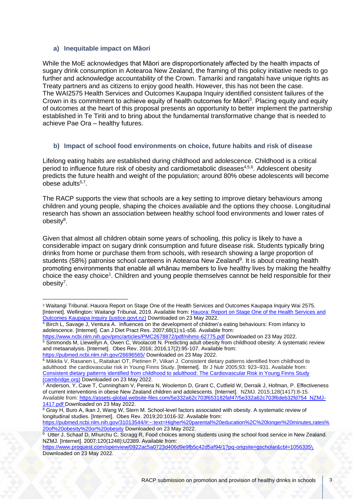#### **a) Inequitable impact on Māori**

While the MoE acknowledges that Māori are disproportionately affected by the health impacts of sugary drink consumption in Aotearoa New Zealand, the framing of this policy initiative needs to go further and acknowledge accountability of the Crown. Tamariki and rangatahi have unique rights as Treaty partners and as citizens to enjoy good health. However, this has not been the case. The WAI2575 Health Services and Outcomes Kaupapa Inquiry identified consistent failures of the Crown in its commitment to achieve equity of health outcomes for Māori<sup>3</sup>. Placing equity and equity of outcomes at the heart of this proposal presents an opportunity to better implement the partnership established in Te Tiriti and to bring about the fundamental transformative change that is needed to achieve Pae Ora – healthy futures.

### <span id="page-2-0"></span>**b) Impact of school food environments on choice, future habits and risk of disease**

Lifelong eating habits are established during childhood and adolescence. Childhood is a critical period to influence future risk of obesity and cardiometabolic diseases<sup>4,5,6</sup>. Adolescent obesity predicts the future health and weight of the population; around 80% obese adolescents will become obese adults<sup>[5,7](#page-2-0)</sup>.

<span id="page-2-1"></span>The RACP supports the view that schools are a key setting to improve dietary behaviours among children and young people, shaping the choices available and the options they choose. Longitudinal research has shown an association between healthy school food environments and lower rates of obesity 8 .

Given that almost all children obtain some years of schooling, this policy is likely to have a considerable impact on sugary drink consumption and future disease risk. Students typically bring drinks from home or purchase them from schools, with research showing a large proportion of students (58%) patronise school canteens in Aotearoa New Zealand<sup>9</sup>. It is about creating health promoting environments that enable all whānau members to live healthy lives by making the healthy choice the easy choice<sup>[1](#page-1-0)</sup>. Children and young people themselves cannot be held responsible for their obesity<sup>[7](#page-2-1)</sup>.

<https://www.ncbi.nlm.nih.gov/pmc/articles/PMC2678872/pdf/nihms-62775.pdf> Downloaded on 23 May 2022. <sup>5</sup> Simmonds M, Llewellyn A, Owen C, Woolacott N. Predicting adult obesity from childhood obesity: A systematic review and metaanalysis. [Internet]. Obes Rev. 2016; 2016;17(2):95-107. Available from:

<sup>3</sup> Waitangi Tribunal. Hauora Report on Stage One of the Health Services and Outcomes Kaupapa Inquiry Wai 2575. [Internet]. Wellington: Waitangi Tribunal, 2019. Available from: Hauora: Report on Stage One of the Health Services and [Outcomes Kaupapa Inquiry \(justice.govt.nz\)](https://forms.justice.govt.nz/search/Documents/WT/wt_DOC_152801817/Hauora%20W.pdf) Downloaded on 23 May 2022.

<sup>4</sup> Birch L, Savage J, Ventura A. Influences on the development of children's eating behaviours: From infancy to adolescence. [Internet]. Can J Diet Pract Res. 2007;68(1):s1-s56. Available from:

<https://pubmed.ncbi.nlm.nih.gov/26696565/> Downloaded on 23 May 2022.

<sup>6</sup> Mikkila V, Rasanen L, Raitakari OT, Pietinen P, Viikari J. Consistent dietary patterns identified from childhood to adulthood: the cardiovascular risk in Young Finns Study. [Internet]. Br J Nutr 2005;93: 923–931. Available from: [Consistent dietary patterns identified from childhood to adulthood: The Cardiovascular Risk in Young Finns Study](https://www.cambridge.org/core/services/aop-cambridge-core/content/view/E6100BF40DD6B25D8EA7084093058816/S000711450500139Xa.pdf/div-class-title-consistent-dietary-patterns-identified-from-childhood-to-adulthood-the-cardiovascular-risk-in-young-finns-study-div.pdf)  [\(cambridge.org\)](https://www.cambridge.org/core/services/aop-cambridge-core/content/view/E6100BF40DD6B25D8EA7084093058816/S000711450500139Xa.pdf/div-class-title-consistent-dietary-patterns-identified-from-childhood-to-adulthood-the-cardiovascular-risk-in-young-finns-study-div.pdf) Downloaded on 23 May 2022.

<sup>7</sup> Anderson, Y, Cave T, Cunningham V, Pereira N, Woolerton D, Grant C, Cutfield W, Derraik J, Hofman, P. Effectiveness of current interventions in obese New Zealand children and adolescents. [Internet]. NZMJ. 2015;128(1417):8-15. Available from: [https://assets-global.website-files.com/5e332a62c703f653182faf47/5e332a62c703f6deb32fd754\\_NZMJ-](https://assets-global.website-files.com/5e332a62c703f653182faf47/5e332a62c703f6deb32fd754_NZMJ-1417.pdf)[1417.pdf](https://assets-global.website-files.com/5e332a62c703f653182faf47/5e332a62c703f6deb32fd754_NZMJ-1417.pdf) Downloaded on 23 May 2022.

<sup>8</sup> Gray H, Buro A, Ikan J, Wang W, Stern M. School-level factors associated with obesity. A systematic review of longitudinal studies. [Internet]. Obes Rev. 2019;20:1016-32. Available from:

[https://pubmed.ncbi.nlm.nih.gov/31013544/#:~:text=Higher%20parental%20education%2C%20longer%20minutes,rates%](https://pubmed.ncbi.nlm.nih.gov/31013544/#:~:text=Higher%20parental%20education%2C%20longer%20minutes,rates%20of%20obesity%20or%20obesity) [20of%20obesity%20or%20obesity](https://pubmed.ncbi.nlm.nih.gov/31013544/#:~:text=Higher%20parental%20education%2C%20longer%20minutes,rates%20of%20obesity%20or%20obesity) Downloaded on 23 May 2022.

<sup>&</sup>lt;sup>9</sup> Utter J, Schaaf D, Mhurchu C, Scragg R, Food choices among students using the school food service in New Zealand. NZMJ. [Internet]. 2007:120(1248):U2389. Available from:

<https://www.proquest.com/openview/0922ac5a0723d406d9e9fb5c42d5af94/1?pq-origsite=gscholar&cbl=1056335>[\](https://assets-global.website-files.com/5e332a62c703f653182faf47/5e332a62c703f6659d2fc6fb_Vol-120-No-1248-26-January-2007.pdf) Downloaded on 23 May 2022.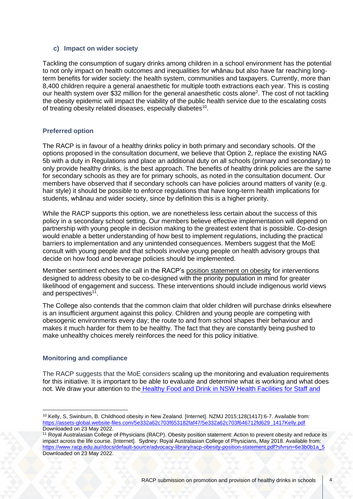#### **c) Impact on wider society**

Tackling the consumption of sugary drinks among children in a school environment has the potential to not only impact on health outcomes and inequalities for whānau but also have far reaching longterm benefits for wider society: the health system, communities and taxpayers. Currently, more than 8,400 children require a general anaesthetic for multiple tooth extractions each year. This is costing our health system over \$3[2](#page-1-1) million for the general anaesthetic costs alone<sup>2</sup>. The cost of not tackling the obesity epidemic will impact the viability of the public health service due to the escalating costs of treating obesity related diseases, especially diabetes<sup>10</sup>.

### **Preferred option**

The RACP is in favour of a healthy drinks policy in both primary and secondary schools. Of the options proposed in the consultation document, we believe that Option 2, replace the existing NAG 5b with a duty in Regulations and place an additional duty on all schools (primary and secondary) to only provide healthy drinks, is the best approach. The benefits of healthy drink policies are the same for secondary schools as they are for primary schools, as noted in the consultation document. Our members have observed that if secondary schools can have policies around matters of vanity (e.g. hair style) it should be possible to enforce regulations that have long-term health implications for students, whānau and wider society, since by definition this is a higher priority.

While the RACP supports this option, we are nonetheless less certain about the success of this policy in a secondary school setting. Our members believe effective implementation will depend on partnership with young people in decision making to the greatest extent that is possible. Co-design would enable a better understanding of how best to implement regulations, including the practical barriers to implementation and any unintended consequences. Members suggest that the MoE consult with young people and that schools involve young people on health advisory groups that decide on how food and beverage policies should be implemented.

<span id="page-3-0"></span>Member sentiment echoes the call in the RACP's [position statement on obesity](https://www.racp.edu.au/docs/default-source/advocacy-library/racp-obesity-position-statement.pdf?sfvrsn=6e3b0b1a_5) for interventions designed to address obesity to be co-designed with the priority population in mind for greater likelihood of engagement and success. These interventions should include indigenous world views and perspectives<sup>11</sup>.

The College also contends that the common claim that older children will purchase drinks elsewhere is an insufficient argument against this policy. Children and young people are competing with obesogenic environments every day; the route to and from school shapes their behaviour and makes it much harder for them to be healthy. The fact that they are constantly being pushed to make unhealthy choices merely reinforces the need for this policy initiative.

### **Monitoring and compliance**

The RACP suggests that the MoE considers scaling up the monitoring and evaluation requirements for this initiative. It is important to be able to evaluate and determine what is working and what does not. We draw your attention to the Healthy Food and Drink in NSW Health [Facilities](https://www.health.nsw.gov.au/heal/Pages/healthy-food-framework.aspx) for Staff and

<sup>10</sup> Kelly, S, Swinburn, B. Childhood obesity in New Zealand. [Internet]. NZMJ 2015;128(1417):6-7. Available from: [https://assets-global.website-files.com/5e332a62c703f653182faf47/5e332a62c703f646712fd629\\_1417Kelly.pdf](https://assets-global.website-files.com/5e332a62c703f653182faf47/5e332a62c703f646712fd629_1417Kelly.pdf) Downloaded on 23 May 2022.

<sup>11</sup> Royal Australasian College of Physicians (RACP). Obesity position statement: Action to prevent obesity and reduce its impact across the life course. [Internet]. Sydney: Royal Australasian College of Physicians, May 2018. Available from: [https://www.racp.edu.au//docs/default-source/advocacy-library/racp-obesity-position-statement.pdf?sfvrsn=6e3b0b1a\\_5](https://www.racp.edu.au/docs/default-source/advocacy-library/racp-obesity-position-statement.pdf?sfvrsn=6e3b0b1a_5) Downloaded on 23 May 2022.